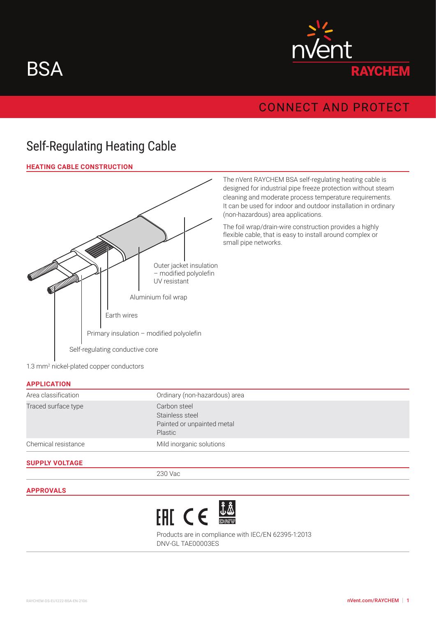



# **CONNECT AND PROTECT**

# Self-Regulating Heating Cable

# **HEATING CABLE CONSTRUCTION**



The nVent RAYCHEM BSA self-regulating heating cable is designed for industrial pipe freeze protection without steam cleaning and moderate process temperature requirements. It can be used for indoor and outdoor installation in ordinary (non-hazardous) area applications.

The foil wrap/drain-wire construction provides a highly flexible cable, that is easy to install around complex or small pipe networks.

1.3 mm<sup>2</sup> nickel-plated copper conductors

#### **APPLICATION**

| Chemical resistance | Mild inorganic solutions                                                 |  |
|---------------------|--------------------------------------------------------------------------|--|
| Traced surface type | Carbon steel<br>Stainless steel<br>Painted or unpainted metal<br>Plastic |  |
| Area classification | Ordinary (non-hazardous) area                                            |  |
|                     |                                                                          |  |

## **SUPPLY VOLTAGE**

230 Vac

#### **APPROVALS**



Products are in compliance with IEC/EN 62395-1:2013 DNV-GL TAE00003ES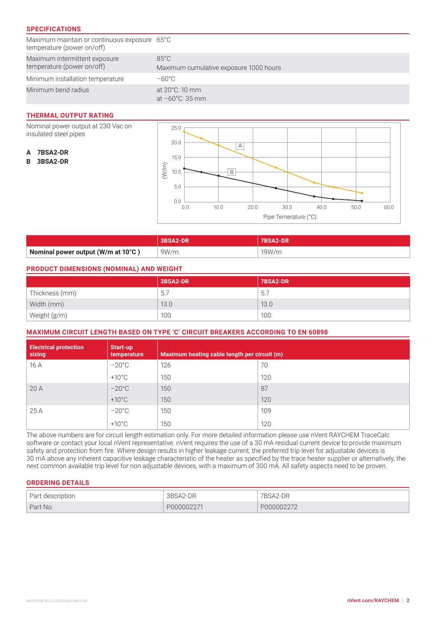## **SPECIFICATIONS**

Maximum maintain or continuous exposure 65°C temperature (power on/off)

| terriperature (power on) only                               |                                                       |
|-------------------------------------------------------------|-------------------------------------------------------|
| Maximum intermittent exposure<br>temperature (power on/off) | 85°C<br>Maximum cumulative exposure 1000 hours        |
| Minimum installation temperature                            | -60°C                                                 |
| Minimum bend radius                                         | at $20^{\circ}$ C: 10 mm<br>at $-60^{\circ}$ C: 35 mm |

## **THERMAL OUTPUT RATING**

Nominal power output at 230 Vac on insulated steel pipes

- **A 7BSA2-DR**
- **B 3BSA2-DR**



|                                    | <b>3BSA2-DR</b> | <b>7BSA2-DR</b> |
|------------------------------------|-----------------|-----------------|
| Nominal power output (W/m at 10°C) | 9W/m            | 19W/m           |

## **PRODUCT DIMENSIONS (NOMINAL) AND WEIGHT**

|                | 3BSA2-DR | 7BSA2-DR |
|----------------|----------|----------|
| Thickness (mm) | 5.       | -5.7     |
| Width (mm)     | 13.0     | 13.0     |
| Weight (g/m)   | 100      | 100      |

# **MAXIMUM CIRCUIT LENGTH BASED ON TYPE 'C' CIRCUIT BREAKERS ACCORDING TO EN 60898**

| <b>Electrical protection</b><br>sizing | Start-up<br>temperature | Maximum heating cable length per circuit (m) |     |
|----------------------------------------|-------------------------|----------------------------------------------|-----|
| 16 A                                   | $-20^{\circ}$ C         | 126                                          | 70  |
|                                        | $+10^{\circ}$ C         | 150                                          | 120 |
| 20A                                    | $-20^{\circ}$ C         | 150                                          | 87  |
|                                        | $+10^{\circ}$ C         | 150                                          | 120 |
| 25 A                                   | $-20^{\circ}$ C         | 150                                          | 109 |
|                                        | $+10^{\circ}$ C         | 150                                          | 120 |

The above numbers are for circuit length estimation only. For more detailed information please use nVent RAYCHEM TraceCalc software or contact your local nVent representative. nVent requires the use of a 30 mA residual current device to provide maximum safety and protection from fire. Where design results in higher leakage current, the preferred trip level for adjustable devices is 30 mA above any inherent capacitive leakage characteristic of the heater as specified by the trace heater supplier or alternatively, the next common available trip level for non adjustable devices, with a maximum of 300 mA. All safety aspects need to be proven.

## **ORDERING DETAILS**

| Part description | 3BSA2-DR | 7BSA2-DR   |
|------------------|----------|------------|
| Part No.         | PNNNNN22 | P000002272 |